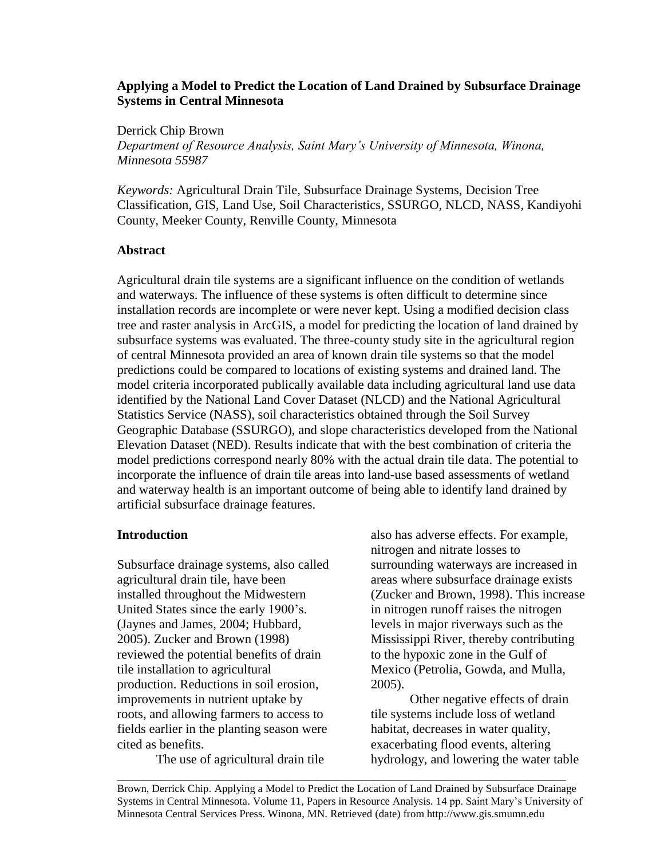# **Applying a Model to Predict the Location of Land Drained by Subsurface Drainage Systems in Central Minnesota**

Derrick Chip Brown

*Department of Resource Analysis, Saint Mary's University of Minnesota, Winona, Minnesota 55987*

*Keywords:* Agricultural Drain Tile, Subsurface Drainage Systems, Decision Tree Classification, GIS, Land Use, Soil Characteristics, SSURGO, NLCD, NASS, Kandiyohi County, Meeker County, Renville County, Minnesota

# **Abstract**

Agricultural drain tile systems are a significant influence on the condition of wetlands and waterways. The influence of these systems is often difficult to determine since installation records are incomplete or were never kept. Using a modified decision class tree and raster analysis in ArcGIS, a model for predicting the location of land drained by subsurface systems was evaluated. The three-county study site in the agricultural region of central Minnesota provided an area of known drain tile systems so that the model predictions could be compared to locations of existing systems and drained land. The model criteria incorporated publically available data including agricultural land use data identified by the National Land Cover Dataset (NLCD) and the National Agricultural Statistics Service (NASS), soil characteristics obtained through the Soil Survey Geographic Database (SSURGO), and slope characteristics developed from the National Elevation Dataset (NED). Results indicate that with the best combination of criteria the model predictions correspond nearly 80% with the actual drain tile data. The potential to incorporate the influence of drain tile areas into land-use based assessments of wetland and waterway health is an important outcome of being able to identify land drained by artificial subsurface drainage features.

# **Introduction**

Subsurface drainage systems, also called agricultural drain tile, have been installed throughout the Midwestern United States since the early 1900's. (Jaynes and James, 2004; Hubbard, 2005). Zucker and Brown (1998) reviewed the potential benefits of drain tile installation to agricultural production. Reductions in soil erosion, improvements in nutrient uptake by roots, and allowing farmers to access to fields earlier in the planting season were cited as benefits.

The use of agricultural drain tile

also has adverse effects. For example, nitrogen and nitrate losses to surrounding waterways are increased in areas where subsurface drainage exists (Zucker and Brown, 1998). This increase in nitrogen runoff raises the nitrogen levels in major riverways such as the Mississippi River, thereby contributing to the hypoxic zone in the Gulf of Mexico (Petrolia, Gowda, and Mulla, 2005).

Other negative effects of drain tile systems include loss of wetland habitat, decreases in water quality, exacerbating flood events, altering hydrology, and lowering the water table

Brown, Derrick Chip. Applying a Model to Predict the Location of Land Drained by Subsurface Drainage Systems in Central Minnesota. Volume 11, Papers in Resource Analysis. 14 pp. Saint Mary's University of Minnesota Central Services Press. Winona, MN. Retrieved (date) from http://www.gis.smumn.edu

\_\_\_\_\_\_\_\_\_\_\_\_\_\_\_\_\_\_\_\_\_\_\_\_\_\_\_\_\_\_\_\_\_\_\_\_\_\_\_\_\_\_\_\_\_\_\_\_\_\_\_\_\_\_\_\_\_\_\_\_\_\_\_\_\_\_\_\_\_\_\_\_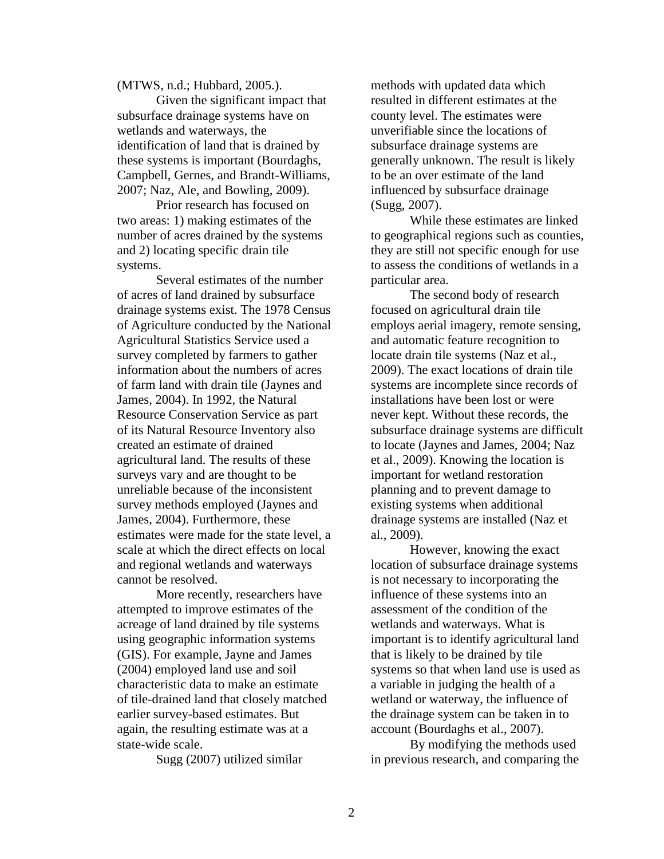(MTWS, n.d.; Hubbard, 2005.).

Given the significant impact that subsurface drainage systems have on wetlands and waterways, the identification of land that is drained by these systems is important (Bourdaghs, Campbell, Gernes, and Brandt-Williams, 2007; Naz, Ale, and Bowling, 2009).

Prior research has focused on two areas: 1) making estimates of the number of acres drained by the systems and 2) locating specific drain tile systems.

Several estimates of the number of acres of land drained by subsurface drainage systems exist. The 1978 Census of Agriculture conducted by the National Agricultural Statistics Service used a survey completed by farmers to gather information about the numbers of acres of farm land with drain tile (Jaynes and James, 2004). In 1992, the Natural Resource Conservation Service as part of its Natural Resource Inventory also created an estimate of drained agricultural land. The results of these surveys vary and are thought to be unreliable because of the inconsistent survey methods employed (Jaynes and James, 2004). Furthermore, these estimates were made for the state level, a scale at which the direct effects on local and regional wetlands and waterways cannot be resolved.

More recently, researchers have attempted to improve estimates of the acreage of land drained by tile systems using geographic information systems (GIS). For example, Jayne and James (2004) employed land use and soil characteristic data to make an estimate of tile-drained land that closely matched earlier survey-based estimates. But again, the resulting estimate was at a state-wide scale.

Sugg (2007) utilized similar

methods with updated data which resulted in different estimates at the county level. The estimates were unverifiable since the locations of subsurface drainage systems are generally unknown. The result is likely to be an over estimate of the land influenced by subsurface drainage (Sugg, 2007).

While these estimates are linked to geographical regions such as counties, they are still not specific enough for use to assess the conditions of wetlands in a particular area.

The second body of research focused on agricultural drain tile employs aerial imagery, remote sensing, and automatic feature recognition to locate drain tile systems (Naz et al., 2009). The exact locations of drain tile systems are incomplete since records of installations have been lost or were never kept. Without these records, the subsurface drainage systems are difficult to locate (Jaynes and James, 2004; Naz et al., 2009). Knowing the location is important for wetland restoration planning and to prevent damage to existing systems when additional drainage systems are installed (Naz et al., 2009).

However, knowing the exact location of subsurface drainage systems is not necessary to incorporating the influence of these systems into an assessment of the condition of the wetlands and waterways. What is important is to identify agricultural land that is likely to be drained by tile systems so that when land use is used as a variable in judging the health of a wetland or waterway, the influence of the drainage system can be taken in to account (Bourdaghs et al., 2007).

By modifying the methods used in previous research, and comparing the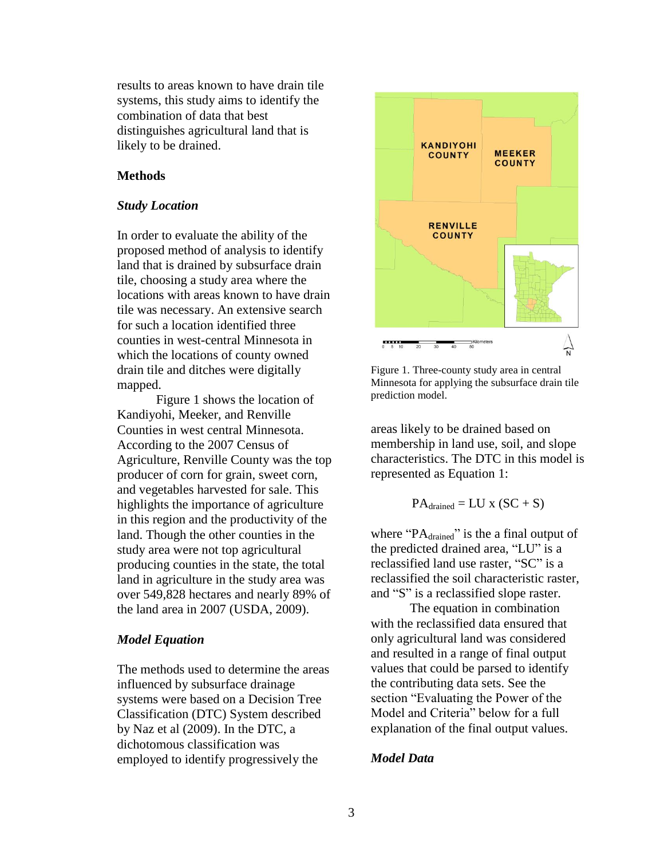results to areas known to have drain tile systems, this study aims to identify the combination of data that best distinguishes agricultural land that is likely to be drained.

#### **Methods**

#### *Study Location*

In order to evaluate the ability of the proposed method of analysis to identify land that is drained by subsurface drain tile, choosing a study area where the locations with areas known to have drain tile was necessary. An extensive search for such a location identified three counties in west-central Minnesota in which the locations of county owned drain tile and ditches were digitally mapped.

Figure 1 shows the location of Kandiyohi, Meeker, and Renville Counties in west central Minnesota. According to the 2007 Census of Agriculture, Renville County was the top producer of corn for grain, sweet corn, and vegetables harvested for sale. This highlights the importance of agriculture in this region and the productivity of the land. Though the other counties in the study area were not top agricultural producing counties in the state, the total land in agriculture in the study area was over 549,828 hectares and nearly 89% of the land area in 2007 (USDA, 2009).

### *Model Equation*

The methods used to determine the areas influenced by subsurface drainage systems were based on a Decision Tree Classification (DTC) System described by Naz et al (2009). In the DTC, a dichotomous classification was employed to identify progressively the



Figure 1. Three-county study area in central Minnesota for applying the subsurface drain tile prediction model.

areas likely to be drained based on membership in land use, soil, and slope characteristics. The DTC in this model is represented as Equation 1:

$$
PA_{drained} = LU \times (SC + S)
$$

where " $PA_{\text{draid}}$ " is the a final output of the predicted drained area, "LU" is a reclassified land use raster, "SC" is a reclassified the soil characteristic raster, and "S" is a reclassified slope raster.

The equation in combination with the reclassified data ensured that only agricultural land was considered and resulted in a range of final output values that could be parsed to identify the contributing data sets. See the section "Evaluating the Power of the Model and Criteria" below for a full explanation of the final output values.

### *Model Data*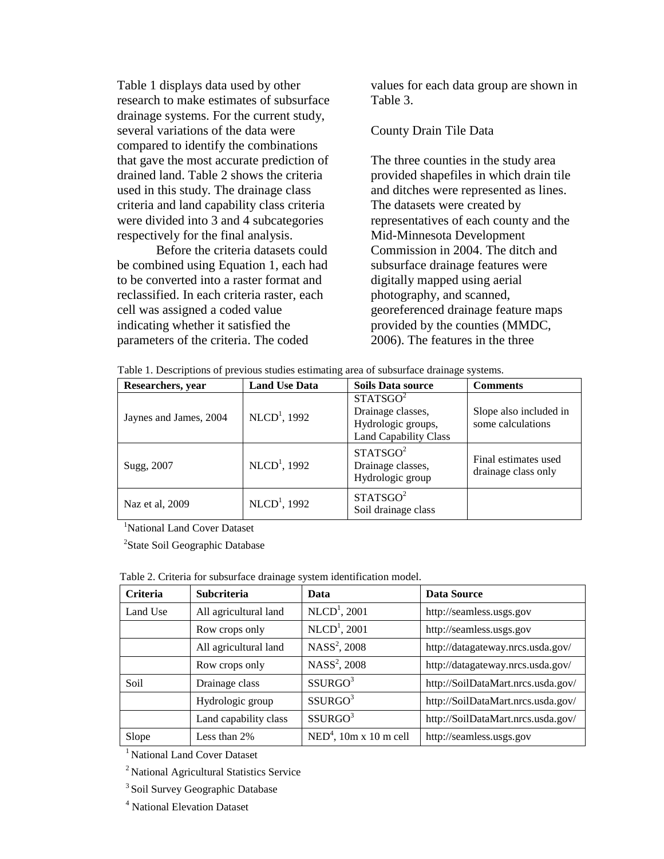Table 1 displays data used by other research to make estimates of subsurface drainage systems. For the current study, several variations of the data were compared to identify the combinations that gave the most accurate prediction of drained land. Table 2 shows the criteria used in this study. The drainage class criteria and land capability class criteria were divided into 3 and 4 subcategories respectively for the final analysis.

Before the criteria datasets could be combined using Equation 1, each had to be converted into a raster format and reclassified. In each criteria raster, each cell was assigned a coded value indicating whether it satisfied the parameters of the criteria. The coded

values for each data group are shown in Table 3.

#### County Drain Tile Data

The three counties in the study area provided shapefiles in which drain tile and ditches were represented as lines. The datasets were created by representatives of each county and the Mid-Minnesota Development Commission in 2004. The ditch and subsurface drainage features were digitally mapped using aerial photography, and scanned, georeferenced drainage feature maps provided by the counties (MMDC, 2006). The features in the three

| Table 1. Descriptions of previous studies estimating area of subsurface drainage systems. |  |  |  |  |
|-------------------------------------------------------------------------------------------|--|--|--|--|
|                                                                                           |  |  |  |  |

| Researchers, year      | <b>Land Use Data</b> | <b>Soils Data source</b>                                                                        | <b>Comments</b>                             |
|------------------------|----------------------|-------------------------------------------------------------------------------------------------|---------------------------------------------|
| Jaynes and James, 2004 | $NLCD1$ , 1992       | STATSGO <sup>2</sup><br>Drainage classes,<br>Hydrologic groups,<br><b>Land Capability Class</b> | Slope also included in<br>some calculations |
| Sugg, 2007             | $NLCD1$ , 1992       | STATSGO <sup>2</sup><br>Drainage classes,<br>Hydrologic group                                   | Final estimates used<br>drainage class only |
| Naz et al, 2009        | $NLCD1$ , 1992       | STATSGO <sup>2</sup><br>Soil drainage class                                                     |                                             |

<sup>1</sup>National Land Cover Dataset

<sup>2</sup>State Soil Geographic Database

| <b>Criteria</b> | Subcriteria           | Data                     | Data Source                        |
|-----------------|-----------------------|--------------------------|------------------------------------|
| Land Use        | All agricultural land | $NLCD1$ , 2001           | http://seamless.usgs.gov           |
|                 | Row crops only        | $NLCD1$ , 2001           | http://seamless.usgs.gov           |
|                 | All agricultural land | $NASS2$ , 2008           | http://datagateway.nrcs.usda.gov/  |
|                 | Row crops only        | NASS <sup>2</sup> , 2008 | http://datagateway.nrcs.usda.gov/  |
| <b>Soil</b>     | Drainage class        | SSURGO <sup>3</sup>      | http://SoilDataMart.nrcs.usda.gov/ |
|                 | Hydrologic group      | SSURGO <sup>3</sup>      | http://SoilDataMart.nrcs.usda.gov/ |
|                 | Land capability class | SSURGO <sup>3</sup>      | http://SoilDataMart.nrcs.usda.gov/ |
| Slope           | Less than 2%          | $NED4$ , 10m x 10 m cell | http://seamless.usgs.gov           |

Table 2. Criteria for subsurface drainage system identification model.

<sup>1</sup> National Land Cover Dataset

<sup>2</sup> National Agricultural Statistics Service

<sup>3</sup> Soil Survey Geographic Database

<sup>4</sup> National Elevation Dataset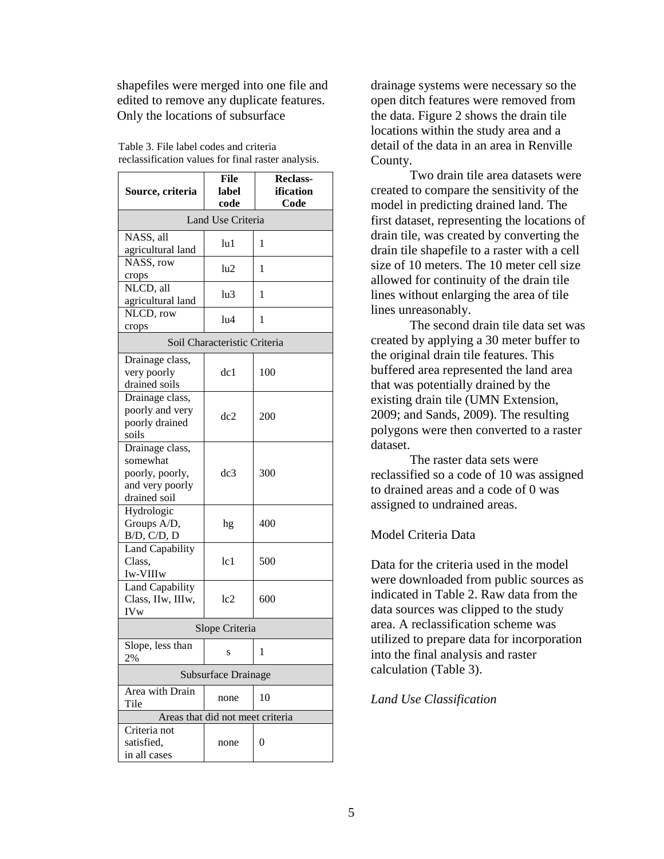shapefiles were merged into one file and edited to remove any duplicate features. Only the locations of subsurface

Table 3. File label codes and criteria reclassification values for final raster analysis.

| Source, criteria                            | File<br>label                | <b>Reclass-</b><br>ification |  |  |
|---------------------------------------------|------------------------------|------------------------------|--|--|
|                                             | code                         | Code                         |  |  |
|                                             | Land Use Criteria            |                              |  |  |
| NASS, all                                   | lu1                          | 1                            |  |  |
| agricultural land                           |                              |                              |  |  |
| NASS, row                                   | lu2                          | 1                            |  |  |
| crops                                       |                              |                              |  |  |
| NLCD, all                                   | hı3                          | 1                            |  |  |
| agricultural land                           |                              |                              |  |  |
| NLCD, row                                   | lu4                          | 1                            |  |  |
| crops                                       |                              |                              |  |  |
|                                             | Soil Characteristic Criteria |                              |  |  |
| Drainage class,                             |                              |                              |  |  |
| very poorly                                 | dc1                          | 100                          |  |  |
| drained soils                               |                              |                              |  |  |
| Drainage class,                             |                              |                              |  |  |
| poorly and very<br>poorly drained           | dc2                          | 200                          |  |  |
| soils                                       |                              |                              |  |  |
| Drainage class,                             |                              |                              |  |  |
| somewhat                                    |                              |                              |  |  |
| poorly, poorly,                             | dc3                          | 300                          |  |  |
| and very poorly                             |                              |                              |  |  |
| drained soil                                |                              |                              |  |  |
| Hydrologic                                  |                              |                              |  |  |
| Groups A/D,                                 | hg                           | 400                          |  |  |
| B/D, C/D, D                                 |                              |                              |  |  |
| Land Capability                             |                              |                              |  |  |
| Class,                                      | 1c1                          | 500                          |  |  |
| Iw-VIIIw                                    |                              |                              |  |  |
| <b>Land Capability</b><br>Class, IIw, IIIw, | 1c2                          | 600                          |  |  |
| IVw                                         |                              |                              |  |  |
| Slope Criteria                              |                              |                              |  |  |
| Slope, less than                            |                              |                              |  |  |
| 2%                                          | S                            | 1                            |  |  |
| Subsurface Drainage                         |                              |                              |  |  |
| Area with Drain                             |                              |                              |  |  |
| Tile                                        | none                         | 10                           |  |  |
| Areas that did not meet criteria            |                              |                              |  |  |
| Criteria not                                |                              |                              |  |  |
| satisfied,                                  | none                         | 0                            |  |  |
| in all cases                                |                              |                              |  |  |

drainage systems were necessary so the open ditch features were removed from the data. Figure 2 shows the drain tile locations within the study area and a detail of the data in an area in Renville County.

Two drain tile area datasets were created to compare the sensitivity of the model in predicting drained land. The first dataset, representing the locations of drain tile, was created by converting the drain tile shapefile to a raster with a cell size of 10 meters. The 10 meter cell size allowed for continuity of the drain tile lines without enlarging the area of tile lines unreasonably.

The second drain tile data set was created by applying a 30 meter buffer to the original drain tile features. This buffered area represented the land area that was potentially drained by the existing drain tile (UMN Extension, 2009; and Sands, 2009). The resulting polygons were then converted to a raster dataset.

The raster data sets were reclassified so a code of 10 was assigned to drained areas and a code of 0 was assigned to undrained areas.

# Model Criteria Data

Data for the criteria used in the model were downloaded from public sources as indicated in Table 2. Raw data from the data sources was clipped to the study area. A reclassification scheme was utilized to prepare data for incorporation into the final analysis and raster calculation (Table 3).

# *Land Use Classification*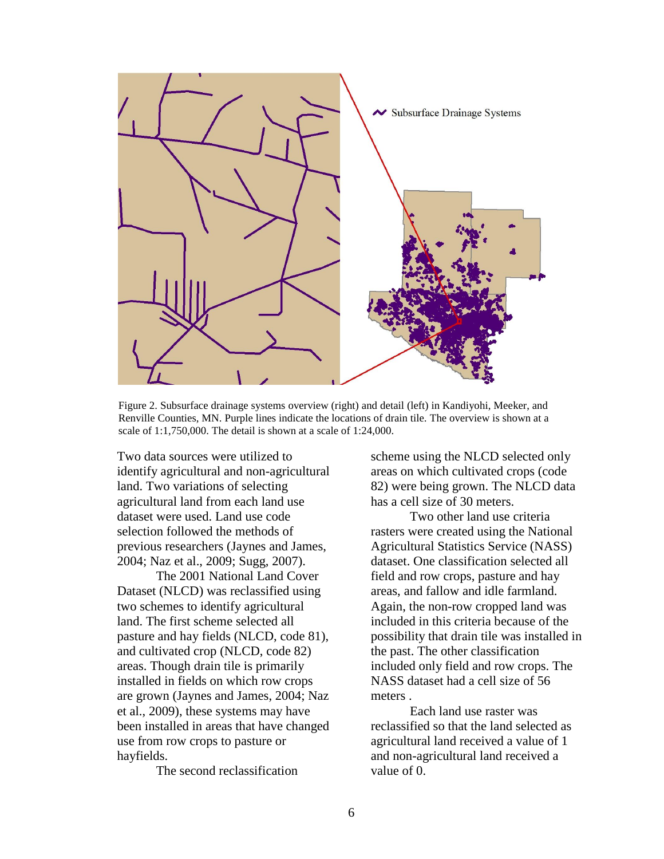

Figure 2. Subsurface drainage systems overview (right) and detail (left) in Kandiyohi, Meeker, and Renville Counties, MN. Purple lines indicate the locations of drain tile. The overview is shown at a scale of 1:1,750,000. The detail is shown at a scale of 1:24,000.

Two data sources were utilized to identify agricultural and non-agricultural land. Two variations of selecting agricultural land from each land use dataset were used. Land use code selection followed the methods of previous researchers (Jaynes and James, 2004; Naz et al., 2009; Sugg, 2007).

The 2001 National Land Cover Dataset (NLCD) was reclassified using two schemes to identify agricultural land. The first scheme selected all pasture and hay fields (NLCD, code 81), and cultivated crop (NLCD, code 82) areas. Though drain tile is primarily installed in fields on which row crops are grown (Jaynes and James, 2004; Naz et al., 2009), these systems may have been installed in areas that have changed use from row crops to pasture or hayfields.

The second reclassification

scheme using the NLCD selected only areas on which cultivated crops (code 82) were being grown. The NLCD data has a cell size of 30 meters.

Two other land use criteria rasters were created using the National Agricultural Statistics Service (NASS) dataset. One classification selected all field and row crops, pasture and hay areas, and fallow and idle farmland. Again, the non-row cropped land was included in this criteria because of the possibility that drain tile was installed in the past. The other classification included only field and row crops. The NASS dataset had a cell size of 56 meters .

Each land use raster was reclassified so that the land selected as agricultural land received a value of 1 and non-agricultural land received a value of 0.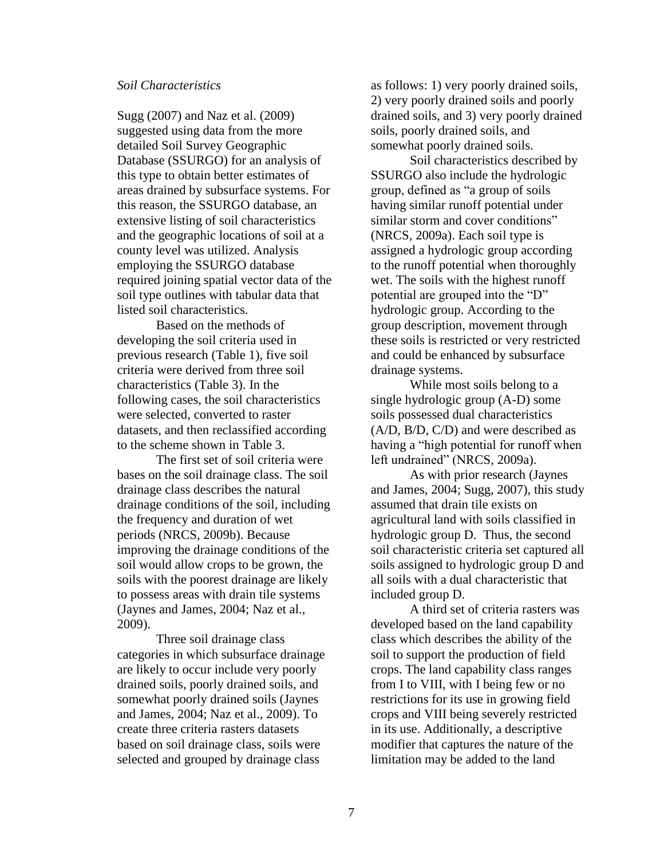#### *Soil Characteristics*

Sugg (2007) and Naz et al. (2009) suggested using data from the more detailed Soil Survey Geographic Database (SSURGO) for an analysis of this type to obtain better estimates of areas drained by subsurface systems. For this reason, the SSURGO database, an extensive listing of soil characteristics and the geographic locations of soil at a county level was utilized. Analysis employing the SSURGO database required joining spatial vector data of the soil type outlines with tabular data that listed soil characteristics.

Based on the methods of developing the soil criteria used in previous research (Table 1), five soil criteria were derived from three soil characteristics (Table 3). In the following cases, the soil characteristics were selected, converted to raster datasets, and then reclassified according to the scheme shown in Table 3.

The first set of soil criteria were bases on the soil drainage class. The soil drainage class describes the natural drainage conditions of the soil, including the frequency and duration of wet periods (NRCS, 2009b). Because improving the drainage conditions of the soil would allow crops to be grown, the soils with the poorest drainage are likely to possess areas with drain tile systems (Jaynes and James, 2004; Naz et al., 2009).

Three soil drainage class categories in which subsurface drainage are likely to occur include very poorly drained soils, poorly drained soils, and somewhat poorly drained soils (Jaynes and James, 2004; Naz et al., 2009). To create three criteria rasters datasets based on soil drainage class, soils were selected and grouped by drainage class

as follows: 1) very poorly drained soils, 2) very poorly drained soils and poorly drained soils, and 3) very poorly drained soils, poorly drained soils, and somewhat poorly drained soils.

Soil characteristics described by SSURGO also include the hydrologic group, defined as "a group of soils having similar runoff potential under similar storm and cover conditions" (NRCS, 2009a). Each soil type is assigned a hydrologic group according to the runoff potential when thoroughly wet. The soils with the highest runoff potential are grouped into the "D" hydrologic group. According to the group description, movement through these soils is restricted or very restricted and could be enhanced by subsurface drainage systems.

While most soils belong to a single hydrologic group (A-D) some soils possessed dual characteristics (A/D, B/D, C/D) and were described as having a "high potential for runoff when left undrained" (NRCS, 2009a).

As with prior research (Jaynes and James, 2004; Sugg, 2007), this study assumed that drain tile exists on agricultural land with soils classified in hydrologic group D. Thus, the second soil characteristic criteria set captured all soils assigned to hydrologic group D and all soils with a dual characteristic that included group D.

A third set of criteria rasters was developed based on the land capability class which describes the ability of the soil to support the production of field crops. The land capability class ranges from I to VIII, with I being few or no restrictions for its use in growing field crops and VIII being severely restricted in its use. Additionally, a descriptive modifier that captures the nature of the limitation may be added to the land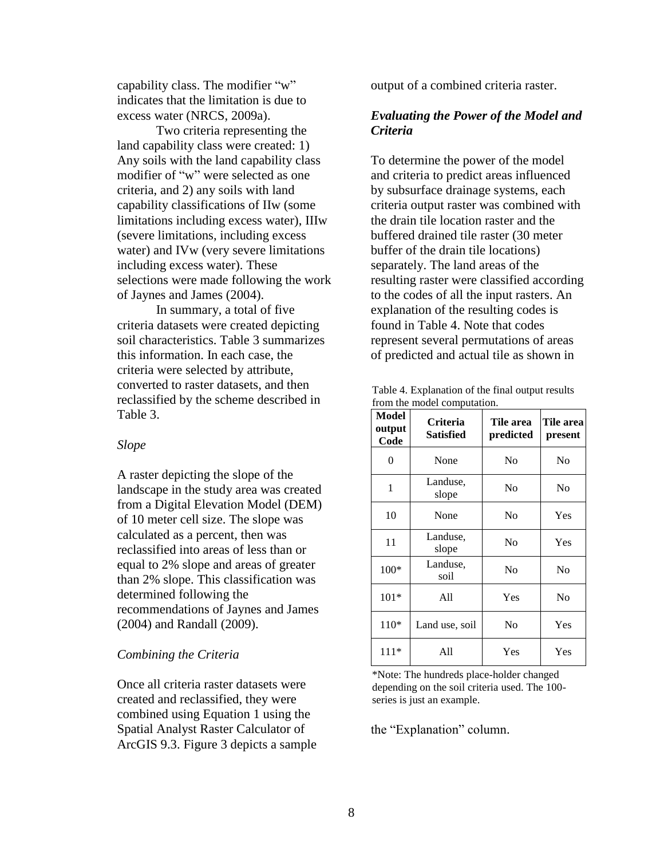capability class. The modifier "w" indicates that the limitation is due to excess water (NRCS, 2009a).

Two criteria representing the land capability class were created: 1) Any soils with the land capability class modifier of "w" were selected as one criteria, and 2) any soils with land capability classifications of IIw (some limitations including excess water), IIIw (severe limitations, including excess water) and IVw (very severe limitations including excess water). These selections were made following the work of Jaynes and James (2004).

In summary, a total of five criteria datasets were created depicting soil characteristics. Table 3 summarizes this information. In each case, the criteria were selected by attribute, converted to raster datasets, and then reclassified by the scheme described in Table 3.

#### *Slope*

A raster depicting the slope of the landscape in the study area was created from a Digital Elevation Model (DEM) of 10 meter cell size. The slope was calculated as a percent, then was reclassified into areas of less than or equal to 2% slope and areas of greater than 2% slope. This classification was determined following the recommendations of Jaynes and James (2004) and Randall (2009).

#### *Combining the Criteria*

Once all criteria raster datasets were created and reclassified, they were combined using Equation 1 using the Spatial Analyst Raster Calculator of ArcGIS 9.3. Figure 3 depicts a sample output of a combined criteria raster.

# *Evaluating the Power of the Model and Criteria*

To determine the power of the model and criteria to predict areas influenced by subsurface drainage systems, each criteria output raster was combined with the drain tile location raster and the buffered drained tile raster (30 meter buffer of the drain tile locations) separately. The land areas of the resulting raster were classified according to the codes of all the input rasters. An explanation of the resulting codes is found in Table 4. Note that codes represent several permutations of areas of predicted and actual tile as shown in

Table 4. Explanation of the final output results from the model computation.

| Model<br>output<br>Code | <b>Criteria</b><br>Satisfied | Tile area<br>predicted | Tile area<br>present |
|-------------------------|------------------------------|------------------------|----------------------|
| 0                       | None                         | No                     | No                   |
| 1                       | Landuse,<br>slope            | No                     | No                   |
| 10                      | None                         | No                     | Yes                  |
| 11                      | Landuse,<br>slope            | No                     | Yes                  |
| $100*$                  | Landuse,<br>soil             | No                     | No                   |
| $101*$                  | A11                          | Yes                    | No                   |
| $110*$                  | Land use, soil               | No                     | Yes                  |
| $111*$                  | A11                          | Yes                    | Yes                  |

\*Note: The hundreds place-holder changed depending on the soil criteria used. The 100 series is just an example.

the "Explanation" column.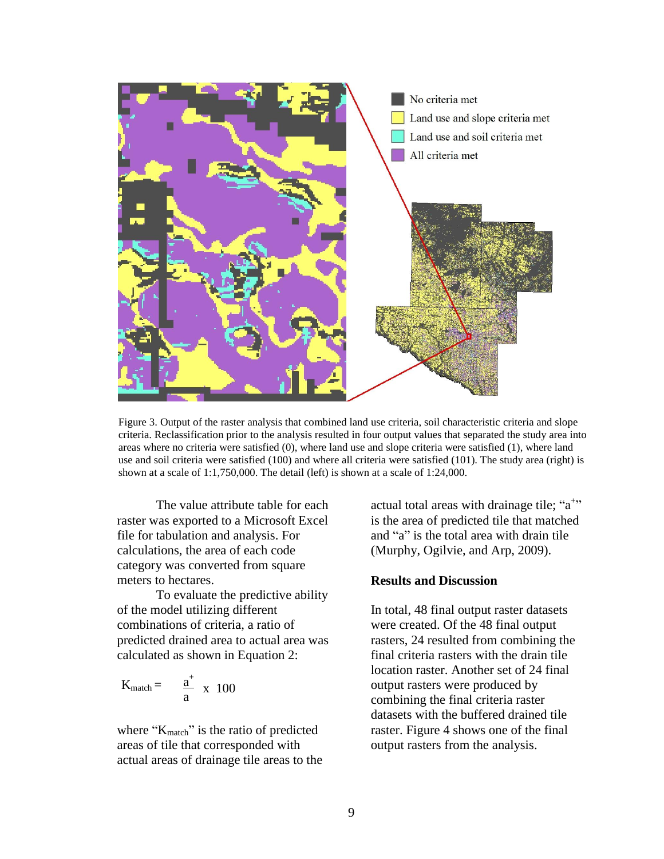

Figure 3. Output of the raster analysis that combined land use criteria, soil characteristic criteria and slope criteria. Reclassification prior to the analysis resulted in four output values that separated the study area into areas where no criteria were satisfied (0), where land use and slope criteria were satisfied (1), where land use and soil criteria were satisfied (100) and where all criteria were satisfied (101). The study area (right) is shown at a scale of 1:1,750,000. The detail (left) is shown at a scale of 1:24,000.

The value attribute table for each raster was exported to a Microsoft Excel file for tabulation and analysis. For calculations, the area of each code category was converted from square meters to hectares.

To evaluate the predictive ability of the model utilizing different combinations of criteria, a ratio of predicted drained area to actual area was calculated as shown in Equation 2:

$$
K_{match} = \frac{a^+}{a} \times 100
$$

where "K<sub>match</sub>" is the ratio of predicted areas of tile that corresponded with actual areas of drainage tile areas to the

actual total areas with drainage tile; "a<sup>+</sup>" is the area of predicted tile that matched and "a" is the total area with drain tile (Murphy, Ogilvie, and Arp, 2009).

# **Results and Discussion**

In total, 48 final output raster datasets were created. Of the 48 final output rasters, 24 resulted from combining the final criteria rasters with the drain tile location raster. Another set of 24 final output rasters were produced by combining the final criteria raster datasets with the buffered drained tile raster. Figure 4 shows one of the final output rasters from the analysis.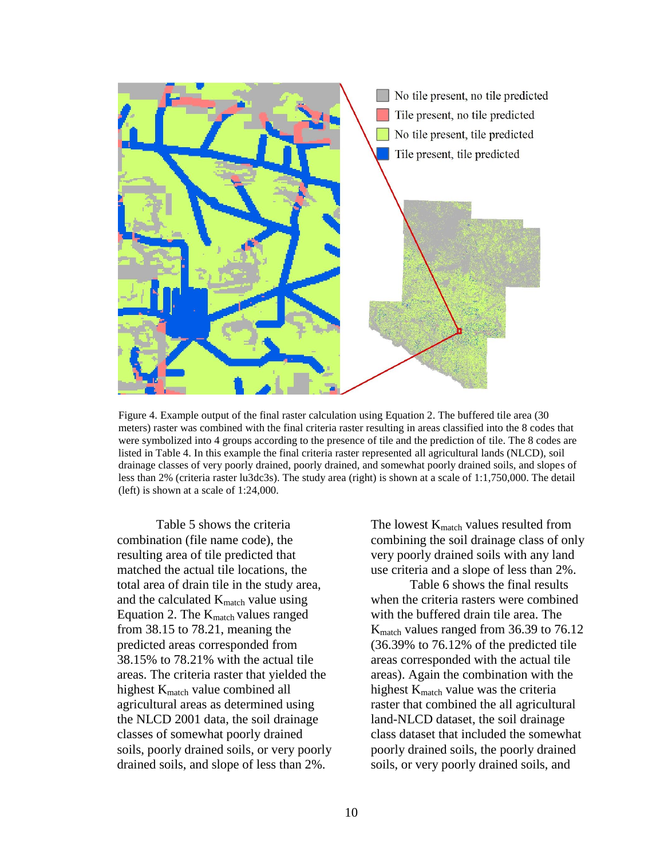

Figure 4. Example output of the final raster calculation using Equation 2. The buffered tile area (30 meters) raster was combined with the final criteria raster resulting in areas classified into the 8 codes that were symbolized into 4 groups according to the presence of tile and the prediction of tile. The 8 codes are listed in Table 4. In this example the final criteria raster represented all agricultural lands (NLCD), soil drainage classes of very poorly drained, poorly drained, and somewhat poorly drained soils, and slopes of less than 2% (criteria raster lu3dc3s). The study area (right) is shown at a scale of 1:1,750,000. The detail (left) is shown at a scale of 1:24,000.

Table 5 shows the criteria combination (file name code), the resulting area of tile predicted that matched the actual tile locations, the total area of drain tile in the study area, and the calculated  $K_{match}$  value using Equation 2. The  $K_{match}$  values ranged from 38.15 to 78.21, meaning the predicted areas corresponded from 38.15% to 78.21% with the actual tile areas. The criteria raster that yielded the highest K<sub>match</sub> value combined all agricultural areas as determined using the NLCD 2001 data, the soil drainage classes of somewhat poorly drained soils, poorly drained soils, or very poorly drained soils, and slope of less than 2%.

The lowest  $K_{match}$  values resulted from combining the soil drainage class of only very poorly drained soils with any land use criteria and a slope of less than 2%.

Table 6 shows the final results when the criteria rasters were combined with the buffered drain tile area. The K<sub>match</sub> values ranged from 36.39 to 76.12 (36.39% to 76.12% of the predicted tile areas corresponded with the actual tile areas). Again the combination with the highest K<sub>match</sub> value was the criteria raster that combined the all agricultural land-NLCD dataset, the soil drainage class dataset that included the somewhat poorly drained soils, the poorly drained soils, or very poorly drained soils, and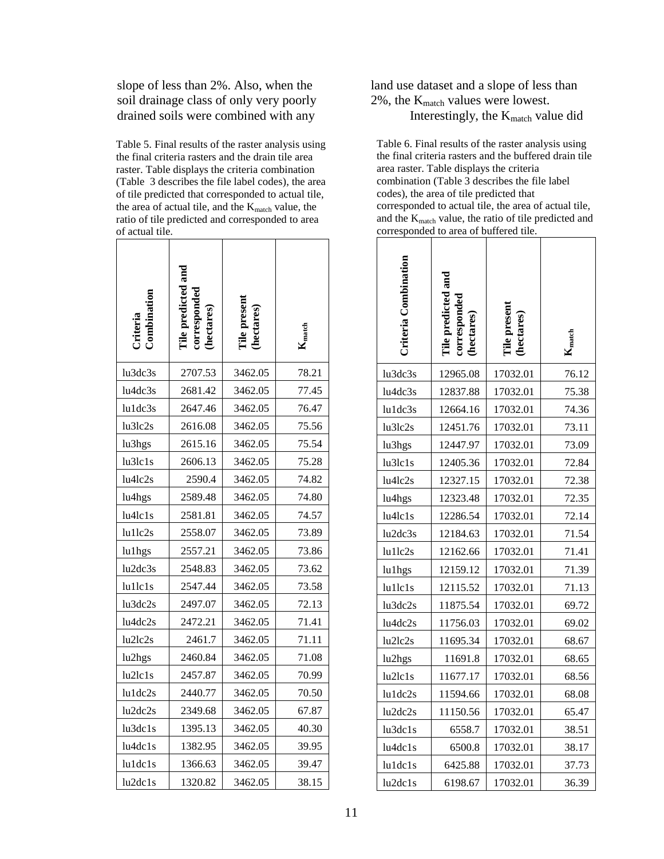slope of less than 2%. Also, when the soil drainage class of only very poorly drained soils were combined with any

Table 5. Final results of the raster analysis using the final criteria rasters and the drain tile area raster. Table displays the criteria combination (Table 3 describes the file label codes), the area of tile predicted that corresponded to actual tile, the area of actual tile, and the  $K_{match}$  value, the ratio of tile predicted and corresponded to area of actual tile.

| Criteria<br>Combination | Tile predicted and<br>hectares) | Tile present<br>(hectares) | <b>A</b> match |
|-------------------------|---------------------------------|----------------------------|----------------|
| lu3dc3s                 | 2707.53                         | 3462.05                    | 78.21          |
| lu4dc3s                 | 2681.42                         | 3462.05                    | 77.45          |
| lu1dc3s                 | 2647.46                         | 3462.05                    | 76.47          |
| lu3lc2s                 | 2616.08                         | 3462.05                    | 75.56          |
| lu3hgs                  | 2615.16                         | 3462.05                    | 75.54          |
| lu3lc1s                 | 2606.13                         | 3462.05                    | 75.28          |
| lu4lc2s                 | 2590.4                          | 3462.05                    | 74.82          |
| lu4hgs                  | 2589.48                         | 3462.05                    | 74.80          |
| lu4lc1s                 | 2581.81                         | 3462.05                    | 74.57          |
| lu1lc2s                 | 2558.07                         | 3462.05                    | 73.89          |
| lu1hgs                  | 2557.21                         | 3462.05                    | 73.86          |
| lu2dc3s                 | 2548.83                         | 3462.05                    | 73.62          |
| lu1lc1s                 | 2547.44                         | 3462.05                    | 73.58          |
| lu3dc2s                 | 2497.07                         | 3462.05                    | 72.13          |
| lu4dc2s                 | 2472.21                         | 3462.05                    | 71.41          |
| lu2lc2s                 | 2461.7                          | 3462.05                    | 71.11          |
| lu2hgs                  | 2460.84                         | 3462.05                    | 71.08          |
| lu2lc1s                 | 2457.87                         | 3462.05                    | 70.99          |
| lu1dc2s                 | 2440.77                         | 3462.05                    | 70.50          |
| lu2dc2s                 | 2349.68                         | 3462.05                    | 67.87          |
| lu3dc1s                 | 1395.13                         | 3462.05                    | 40.30          |
| lu4dc1s                 | 1382.95                         | 3462.05                    | 39.95          |
| lu1dc1s                 | 1366.63                         | 3462.05                    | 39.47          |
| lu2dc1s                 | 1320.82                         | 3462.05                    | 38.15          |

land use dataset and a slope of less than  $2\%$ , the K<sub>match</sub> values were lowest. Interestingly, the  $K_{match}$  value did

Table 6. Final results of the raster analysis using the final criteria rasters and the buffered drain tile area raster. Table displays the criteria combination (Table 3 describes the file label codes), the area of tile predicted that corresponded to actual tile, the area of actual tile, and the K<sub>match</sub> value, the ratio of tile predicted and corresponded to area of buffered tile.

| <b>Criteria Combination</b> | The predicted and<br>rresponde<br>ectares) | ile present<br>(hectares) | <b>A</b> match |
|-----------------------------|--------------------------------------------|---------------------------|----------------|
| lu3dc3s                     | 12965.08                                   | 17032.01                  | 76.12          |
| lu4dc3s                     | 12837.88                                   | 17032.01                  | 75.38          |
| lu1dc3s                     | 12664.16                                   | 17032.01                  | 74.36          |
| lu3lc2s                     | 12451.76                                   | 17032.01                  | 73.11          |
| lu3hgs                      | 12447.97                                   | 17032.01                  | 73.09          |
| lu3lc1s                     | 12405.36                                   | 17032.01                  | 72.84          |
| lu4lc2s                     | 12327.15                                   | 17032.01                  | 72.38          |
| lu4hgs                      | 12323.48                                   | 17032.01                  | 72.35          |
| lu4lc1s                     | 12286.54                                   | 17032.01                  | 72.14          |
| lu2dc3s                     | 12184.63                                   | 17032.01                  | 71.54          |
| lu1lc2s                     | 12162.66                                   | 17032.01                  | 71.41          |
| lu1hgs                      | 12159.12                                   | 17032.01                  | 71.39          |
| $l$ u $1$ lc $1$ s          | 12115.52                                   | 17032.01                  | 71.13          |
| lu3dc2s                     | 11875.54                                   | 17032.01                  | 69.72          |
| lu4dc2s                     | 11756.03                                   | 17032.01                  | 69.02          |
| lu2lc2s                     | 11695.34                                   | 17032.01                  | 68.67          |
| lu2hgs                      | 11691.8                                    | 17032.01                  | 68.65          |
| lu2lc1s                     | 11677.17                                   | 17032.01                  | 68.56          |
| lu1dc2s                     | 11594.66                                   | 17032.01                  | 68.08          |
| lu2dc2s                     | 11150.56                                   | 17032.01                  | 65.47          |
| lu3dc1s                     | 6558.7                                     | 17032.01                  | 38.51          |
| lu4dc1s                     | 6500.8                                     | 17032.01                  | 38.17          |
| lu1dc1s                     | 6425.88                                    | 17032.01                  | 37.73          |
| lu2dc1s                     | 6198.67                                    | 17032.01                  | 36.39          |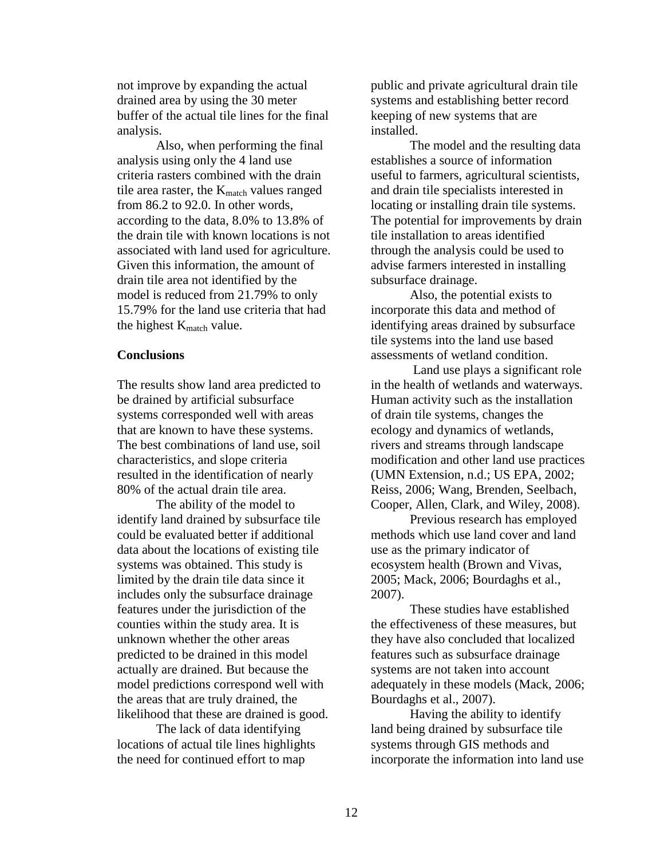not improve by expanding the actual drained area by using the 30 meter buffer of the actual tile lines for the final analysis.

Also, when performing the final analysis using only the 4 land use criteria rasters combined with the drain tile area raster, the  $K_{match}$  values ranged from 86.2 to 92.0. In other words, according to the data, 8.0% to 13.8% of the drain tile with known locations is not associated with land used for agriculture. Given this information, the amount of drain tile area not identified by the model is reduced from 21.79% to only 15.79% for the land use criteria that had the highest  $K_{match}$  value.

#### **Conclusions**

The results show land area predicted to be drained by artificial subsurface systems corresponded well with areas that are known to have these systems. The best combinations of land use, soil characteristics, and slope criteria resulted in the identification of nearly 80% of the actual drain tile area.

The ability of the model to identify land drained by subsurface tile could be evaluated better if additional data about the locations of existing tile systems was obtained. This study is limited by the drain tile data since it includes only the subsurface drainage features under the jurisdiction of the counties within the study area. It is unknown whether the other areas predicted to be drained in this model actually are drained. But because the model predictions correspond well with the areas that are truly drained, the likelihood that these are drained is good.

The lack of data identifying locations of actual tile lines highlights the need for continued effort to map

public and private agricultural drain tile systems and establishing better record keeping of new systems that are installed.

The model and the resulting data establishes a source of information useful to farmers, agricultural scientists, and drain tile specialists interested in locating or installing drain tile systems. The potential for improvements by drain tile installation to areas identified through the analysis could be used to advise farmers interested in installing subsurface drainage.

Also, the potential exists to incorporate this data and method of identifying areas drained by subsurface tile systems into the land use based assessments of wetland condition.

Land use plays a significant role in the health of wetlands and waterways. Human activity such as the installation of drain tile systems, changes the ecology and dynamics of wetlands, rivers and streams through landscape modification and other land use practices (UMN Extension, n.d.; US EPA, 2002; Reiss, 2006; Wang, Brenden, Seelbach, Cooper, Allen, Clark, and Wiley, 2008).

Previous research has employed methods which use land cover and land use as the primary indicator of ecosystem health (Brown and Vivas, 2005; Mack, 2006; Bourdaghs et al., 2007).

These studies have established the effectiveness of these measures, but they have also concluded that localized features such as subsurface drainage systems are not taken into account adequately in these models (Mack, 2006; Bourdaghs et al., 2007).

Having the ability to identify land being drained by subsurface tile systems through GIS methods and incorporate the information into land use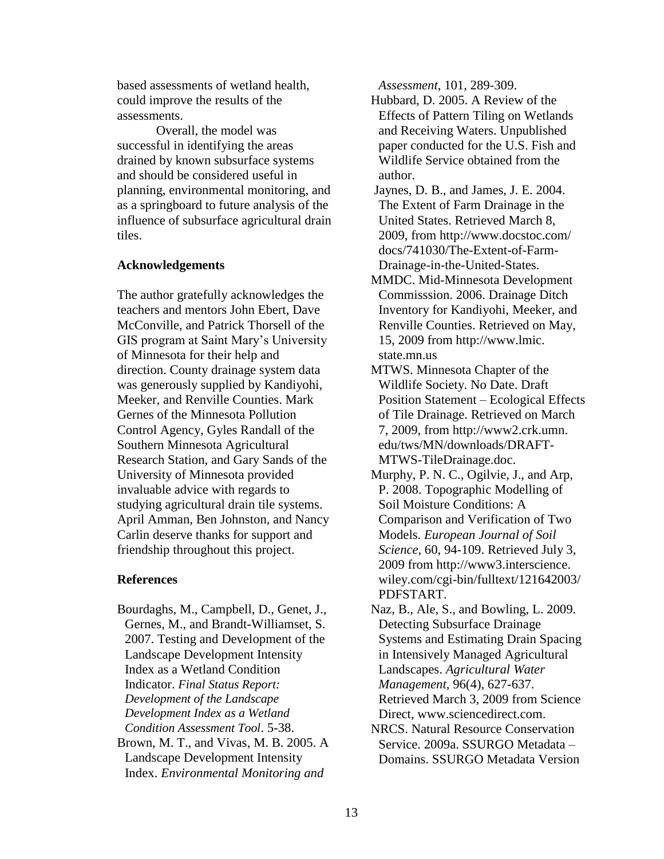based assessments of wetland health, could improve the results of the assessments.

Overall, the model was successful in identifying the areas drained by known subsurface systems and should be considered useful in planning, environmental monitoring, and as a springboard to future analysis of the influence of subsurface agricultural drain tiles.

#### **Acknowledgements**

The author gratefully acknowledges the teachers and mentors John Ebert, Dave McConville, and Patrick Thorsell of the GIS program at Saint Mary's University of Minnesota for their help and direction. County drainage system data was generously supplied by Kandiyohi, Meeker, and Renville Counties. Mark Gernes of the Minnesota Pollution Control Agency, Gyles Randall of the Southern Minnesota Agricultural Research Station, and Gary Sands of the University of Minnesota provided invaluable advice with regards to studying agricultural drain tile systems. April Amman, Ben Johnston, and Nancy Carlin deserve thanks for support and friendship throughout this project.

# **References**

- Bourdaghs, M., Campbell, D., Genet, J., Gernes, M., and Brandt-Williamset, S. 2007. Testing and Development of the Landscape Development Intensity Index as a Wetland Condition Indicator. *Final Status Report: Development of the Landscape Development Index as a Wetland Condition Assessment Tool*. 5-38.
- Brown, M. T., and Vivas, M. B. 2005. A Landscape Development Intensity Index. *Environmental Monitoring and*

*Assessment*, 101, 289-309.

Hubbard, D. 2005. A Review of the Effects of Pattern Tiling on Wetlands and Receiving Waters. Unpublished paper conducted for the U.S. Fish and Wildlife Service obtained from the author.

- Jaynes, D. B., and James, J. E. 2004. The Extent of Farm Drainage in the United States. Retrieved March 8, 2009, from http://www.docstoc.com/ docs/741030/The-Extent-of-Farm-Drainage-in-the-United-States.
- MMDC. Mid-Minnesota Development Commisssion. 2006. Drainage Ditch Inventory for Kandiyohi, Meeker, and Renville Counties. Retrieved on May, 15, 2009 from http://www.lmic. state.mn.us
- MTWS. Minnesota Chapter of the Wildlife Society. No Date. Draft Position Statement – Ecological Effects of Tile Drainage. Retrieved on March 7, 2009, from http://www2.crk.umn. edu/tws/MN/downloads/DRAFT-MTWS-TileDrainage.doc.
- Murphy, P. N. C., Ogilvie, J., and Arp, P. 2008. Topographic Modelling of Soil Moisture Conditions: A Comparison and Verification of Two Models. *European Journal of Soil Science*, 60, 94-109. Retrieved July 3, 2009 from http://www3.interscience. wiley.com/cgi-bin/fulltext/121642003/ PDFSTART.
- Naz, B., Ale, S., and Bowling, L. 2009. Detecting Subsurface Drainage Systems and Estimating Drain Spacing in Intensively Managed Agricultural Landscapes. *Agricultural Water Management*, 96(4), 627-637. Retrieved March 3, 2009 from Science Direct, www.sciencedirect.com. NRCS. Natural Resource Conservation Service. 2009a. SSURGO Metadata – Domains. SSURGO Metadata Version